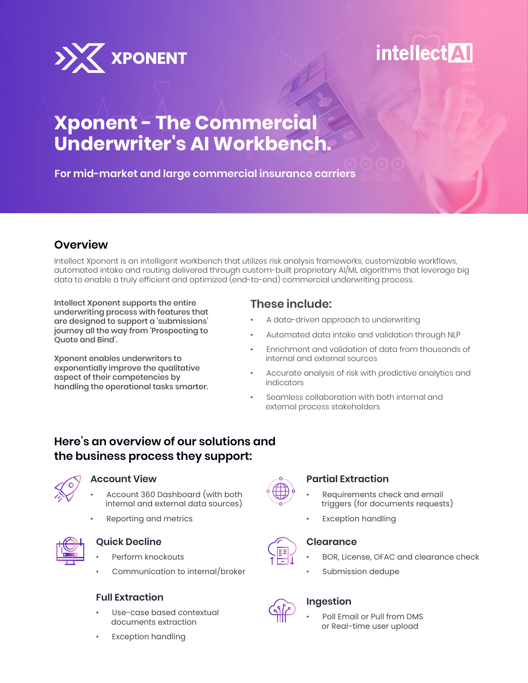

# **intellect All**

## **Xponent - The Commercial Underwriter's AI Workbench.**

**For mid-market and large commercial insurance carriers**

## **Overview**

Intellect Xponent is an intelligent workbench that utilizes risk analysis frameworks, customizable workflows, automated intake and routing delivered through custom-built proprietary AI/ML algorithms that leverage big data to enable a truly efficient and optimized (end-to-end) commercial underwriting process.

Intellect Xponent supports the entire underwriting process with features that are designed to support a 'submissions' journey all the way from 'Prospecting to Quote and Bind'.

Xponent enables underwriters to exponentially improve the qualitative aspect of their competencies by handling the operational tasks smarter.

## **These include:**

- A data-driven approach to underwriting
- Automated data intake and validation through NLP
- Enrichment and validation of data from thousands of internal and external sources
- Accurate analysis of risk with predictive analytics and indicators
- Seamless collaboration with both internal and external process stakeholders

## **Here's an overview of our solutions and the business process they support:**



#### **Account View**

- Account 360 Dashboard (with both internal and external data sources)
- Reporting and metrics



#### **Quick Decline**

- Perform knockouts
- Communication to internal/broker

#### **Full Extraction**

- Use-case based contextual documents extraction
- Exception handling



#### **Partial Extraction**

- Requirements check and email triggers (for documents requests)
- **Exception handling**

#### **Clearance**

- BOR, License, OFAC and clearance check
- Submission dedupe



#### **Ingestion**

Poll Email or Pull from DMS or Real-time user upload